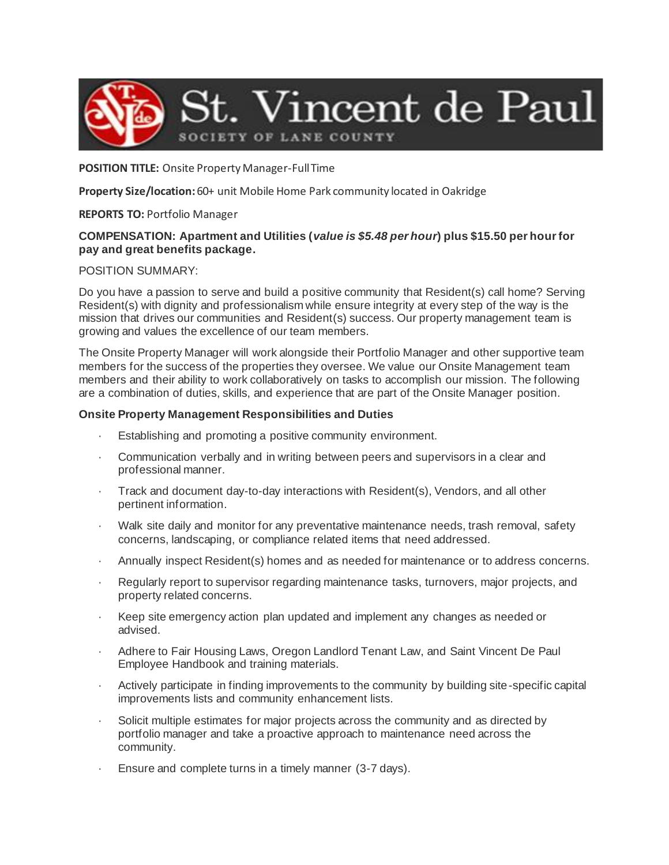

### **POSITION TITLE:** Onsite Property Manager-Full Time

**Property Size/location:** 60+ unit Mobile Home Park community located in Oakridge

## **REPORTS TO:** Portfolio Manager

# **COMPENSATION: Apartment and Utilities (***value is \$5.48 per hour***) plus \$15.50 per hour for pay and great benefits package.**

## POSITION SUMMARY:

Do you have a passion to serve and build a positive community that Resident(s) call home? Serving Resident(s) with dignity and professionalism while ensure integrity at every step of the way is the mission that drives our communities and Resident(s) success. Our property management team is growing and values the excellence of our team members.

The Onsite Property Manager will work alongside their Portfolio Manager and other supportive team members for the success of the properties they oversee. We value our Onsite Management team members and their ability to work collaboratively on tasks to accomplish our mission. The following are a combination of duties, skills, and experience that are part of the Onsite Manager position.

## **Onsite Property Management Responsibilities and Duties**

- Establishing and promoting a positive community environment.
- · Communication verbally and in writing between peers and supervisors in a clear and professional manner.
- · Track and document day-to-day interactions with Resident(s), Vendors, and all other pertinent information.
- · Walk site daily and monitor for any preventative maintenance needs, trash removal, safety concerns, landscaping, or compliance related items that need addressed.
- · Annually inspect Resident(s) homes and as needed for maintenance or to address concerns.
- Regularly report to supervisor regarding maintenance tasks, turnovers, major projects, and property related concerns.
- Keep site emergency action plan updated and implement any changes as needed or advised.
- Adhere to Fair Housing Laws, Oregon Landlord Tenant Law, and Saint Vincent De Paul Employee Handbook and training materials.
- Actively participate in finding improvements to the community by building site-specific capital improvements lists and community enhancement lists.
- Solicit multiple estimates for major projects across the community and as directed by portfolio manager and take a proactive approach to maintenance need across the community.
- · Ensure and complete turns in a timely manner (3-7 days).